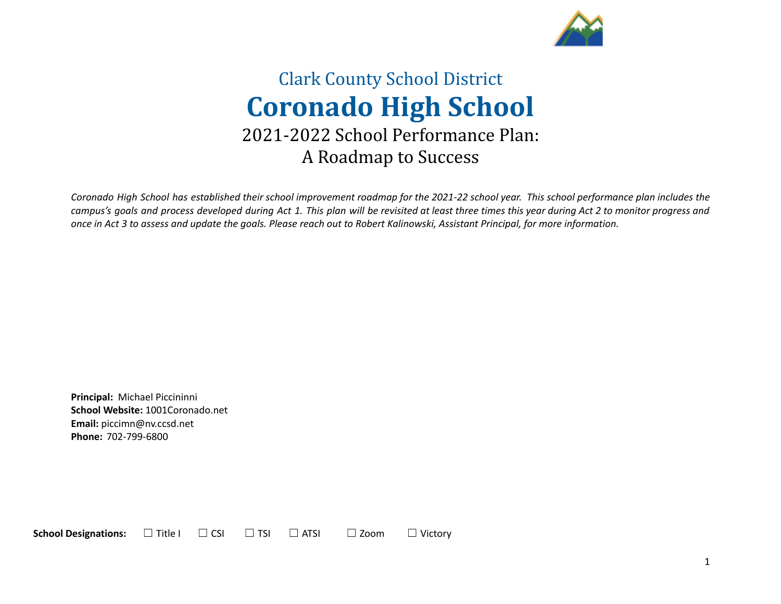

# Clark County School District **Coronado High School** 2021-2022 School Performance Plan: A Roadmap to Success

Coronado High School has established their school improvement roadmap for the 2021-22 school year. This school performance plan includes the campus's goals and process developed during Act 1. This plan will be revisited at least three times this year during Act 2 to monitor progress and once in Act 3 to assess and update the goals. Please reach out to Robert Kalinowski, Assistant Principal, for more information.

**Principal:** Michael Piccininni **School Website:** 1001Coronado.net **Email:** piccimn@nv.ccsd.net **Phone:** 702-799-6800

**School Designations:**  $□$  Title I  $□$  CSI  $□$  TSI  $□$  ATSI  $□$  Zoom  $□$  Victory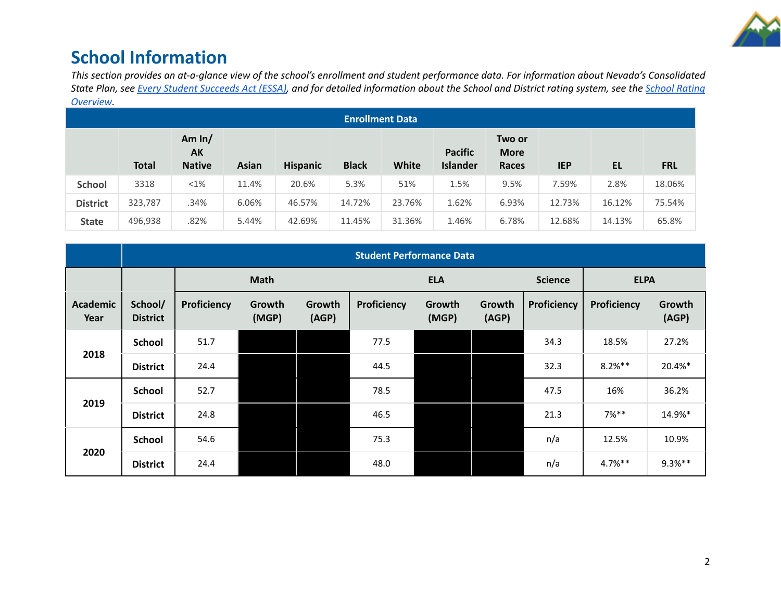

## **School Information**

This section provides an at-a-glance view of the school's enrollment and student performance data. For information about Nevada's Consolidated State Plan, see Every Student [Succeeds](https://doe.nv.gov/uploadedFiles/ndedoenvgov/content/Boards_Commissions_Councils/ESSA_Adv_Group/NevadaSubmittedConsolidatedPlanFinal.pdf) Act (ESSA), and for detailed information about the School and District rating system, see the School [Rating](http://nevadareportcard.nv.gov/DI/MoreDownload?filename=Nevadas%20School%20Rating%20System.pdf) *[Overview.](http://nevadareportcard.nv.gov/DI/MoreDownload?filename=Nevadas%20School%20Rating%20System.pdf)*

|                 |              |                                 |              |                 | <b>Enrollment Data</b> |              |                                   |                                       |            |           |            |
|-----------------|--------------|---------------------------------|--------------|-----------------|------------------------|--------------|-----------------------------------|---------------------------------------|------------|-----------|------------|
|                 | <b>Total</b> | Am $ln/$<br>AK<br><b>Native</b> | <b>Asian</b> | <b>Hispanic</b> | <b>Black</b>           | <b>White</b> | <b>Pacific</b><br><b>Islander</b> | Two or<br><b>More</b><br><b>Races</b> | <b>IEP</b> | <b>EL</b> | <b>FRL</b> |
| <b>School</b>   | 3318         | $< 1\%$                         | 11.4%        | 20.6%           | 5.3%                   | 51%          | 1.5%                              | 9.5%                                  | 7.59%      | 2.8%      | 18.06%     |
| <b>District</b> | 323,787      | .34%                            | 6.06%        | 46.57%          | 14.72%                 | 23.76%       | 1.62%                             | 6.93%                                 | 12.73%     | 16.12%    | 75.54%     |
| <b>State</b>    | 496,938      | .82%                            | 5.44%        | 42.69%          | 11.45%                 | 31.36%       | 1.46%                             | 6.78%                                 | 12.68%     | 14.13%    | 65.8%      |

|                  | <b>Student Performance Data</b> |             |                 |                 |             |                 |                 |                |             |                 |
|------------------|---------------------------------|-------------|-----------------|-----------------|-------------|-----------------|-----------------|----------------|-------------|-----------------|
|                  |                                 |             | <b>Math</b>     |                 |             | <b>ELA</b>      |                 | <b>Science</b> | <b>ELPA</b> |                 |
| Academic<br>Year | School/<br><b>District</b>      | Proficiency | Growth<br>(MGP) | Growth<br>(AGP) | Proficiency | Growth<br>(MGP) | Growth<br>(AGP) | Proficiency    | Proficiency | Growth<br>(AGP) |
|                  | School                          | 51.7        |                 |                 | 77.5        |                 |                 | 34.3           | 18.5%       | 27.2%           |
| 2018             | <b>District</b>                 | 24.4        |                 |                 | 44.5        |                 |                 | 32.3           | $8.2%***$   | 20.4%*          |
|                  | <b>School</b>                   | 52.7        |                 |                 | 78.5        |                 |                 | 47.5           | 16%         | 36.2%           |
| 2019             | <b>District</b>                 | 24.8        |                 |                 | 46.5        |                 |                 | 21.3           | $7%$ **     | 14.9%*          |
|                  | <b>School</b>                   | 54.6        |                 |                 | 75.3        |                 |                 | n/a            | 12.5%       | 10.9%           |
| 2020             | <b>District</b>                 | 24.4        |                 |                 | 48.0        |                 |                 | n/a            | 4.7%**      | $9.3%***$       |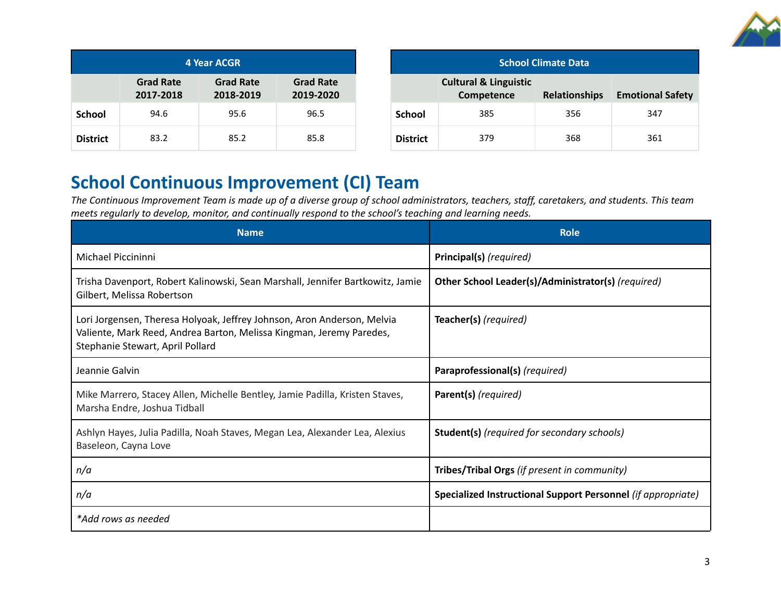

| <b>4 Year ACGR</b> |                               |                               |                               |  |  |
|--------------------|-------------------------------|-------------------------------|-------------------------------|--|--|
|                    | <b>Grad Rate</b><br>2017-2018 | <b>Grad Rate</b><br>2018-2019 | <b>Grad Rate</b><br>2019-2020 |  |  |
| <b>School</b>      | 94.6                          | 95.6                          | 96.5                          |  |  |
| <b>District</b>    | 83.2                          | 85.2                          | 85.8                          |  |  |

| <b>School Climate Data</b> |                                                |                      |                         |  |
|----------------------------|------------------------------------------------|----------------------|-------------------------|--|
|                            | <b>Cultural &amp; Linguistic</b><br>Competence | <b>Relationships</b> | <b>Emotional Safety</b> |  |
| <b>School</b>              | 385                                            | 356                  | 347                     |  |
| <b>District</b>            | 379                                            | 368                  | 361                     |  |

## **School Continuous Improvement (CI) Team**

The Continuous Improvement Team is made up of a diverse group of school administrators, teachers, staff, caretakers, and students. This team *meets regularly to develop, monitor, and continually respond to the school's teaching and learning needs.*

| <b>Name</b>                                                                                                                                                                         | <b>Role</b>                                                  |
|-------------------------------------------------------------------------------------------------------------------------------------------------------------------------------------|--------------------------------------------------------------|
| Michael Piccininni                                                                                                                                                                  | Principal(s) (required)                                      |
| Trisha Davenport, Robert Kalinowski, Sean Marshall, Jennifer Bartkowitz, Jamie<br>Gilbert, Melissa Robertson                                                                        | Other School Leader(s)/Administrator(s) (required)           |
| Lori Jorgensen, Theresa Holyoak, Jeffrey Johnson, Aron Anderson, Melvia<br>Valiente, Mark Reed, Andrea Barton, Melissa Kingman, Jeremy Paredes,<br>Stephanie Stewart, April Pollard | Teacher(s) (required)                                        |
| Jeannie Galvin                                                                                                                                                                      | Paraprofessional(s) (required)                               |
| Mike Marrero, Stacey Allen, Michelle Bentley, Jamie Padilla, Kristen Staves,<br>Marsha Endre, Joshua Tidball                                                                        | Parent(s) (required)                                         |
| Ashlyn Hayes, Julia Padilla, Noah Staves, Megan Lea, Alexander Lea, Alexius<br>Baseleon, Cayna Love                                                                                 | <b>Student(s)</b> (required for secondary schools)           |
| n/a                                                                                                                                                                                 | Tribes/Tribal Orgs (if present in community)                 |
| n/a                                                                                                                                                                                 | Specialized Instructional Support Personnel (if appropriate) |
| *Add rows as needed                                                                                                                                                                 |                                                              |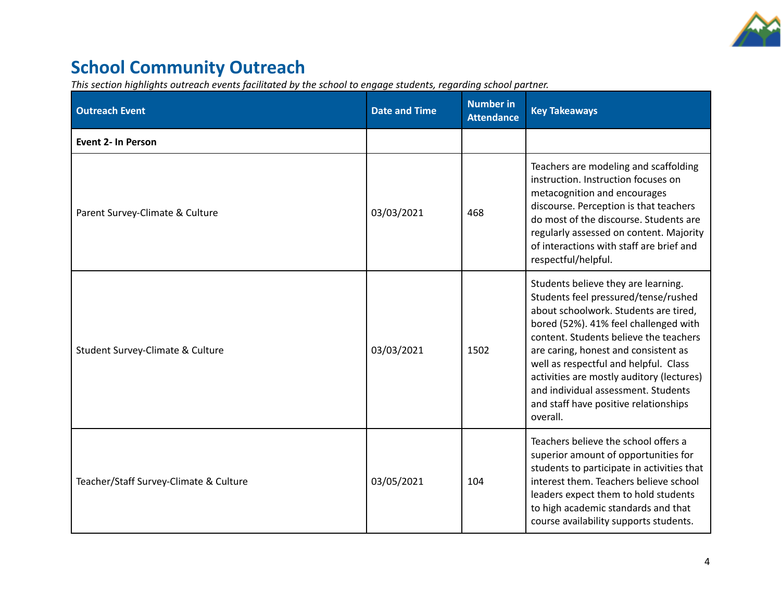

# **School Community Outreach**

*This section highlights outreach events facilitated by the school to engage students, regarding school partner.*

| <b>Outreach Event</b>                  | <b>Date and Time</b> | <b>Number in</b><br><b>Attendance</b> | <b>Key Takeaways</b>                                                                                                                                                                                                                                                                                                                                                                                                              |
|----------------------------------------|----------------------|---------------------------------------|-----------------------------------------------------------------------------------------------------------------------------------------------------------------------------------------------------------------------------------------------------------------------------------------------------------------------------------------------------------------------------------------------------------------------------------|
| <b>Event 2- In Person</b>              |                      |                                       |                                                                                                                                                                                                                                                                                                                                                                                                                                   |
| Parent Survey-Climate & Culture        | 03/03/2021           | 468                                   | Teachers are modeling and scaffolding<br>instruction. Instruction focuses on<br>metacognition and encourages<br>discourse. Perception is that teachers<br>do most of the discourse. Students are<br>regularly assessed on content. Majority<br>of interactions with staff are brief and<br>respectful/helpful.                                                                                                                    |
| Student Survey-Climate & Culture       | 03/03/2021           | 1502                                  | Students believe they are learning.<br>Students feel pressured/tense/rushed<br>about schoolwork. Students are tired,<br>bored (52%). 41% feel challenged with<br>content. Students believe the teachers<br>are caring, honest and consistent as<br>well as respectful and helpful. Class<br>activities are mostly auditory (lectures)<br>and individual assessment. Students<br>and staff have positive relationships<br>overall. |
| Teacher/Staff Survey-Climate & Culture | 03/05/2021           | 104                                   | Teachers believe the school offers a<br>superior amount of opportunities for<br>students to participate in activities that<br>interest them. Teachers believe school<br>leaders expect them to hold students<br>to high academic standards and that<br>course availability supports students.                                                                                                                                     |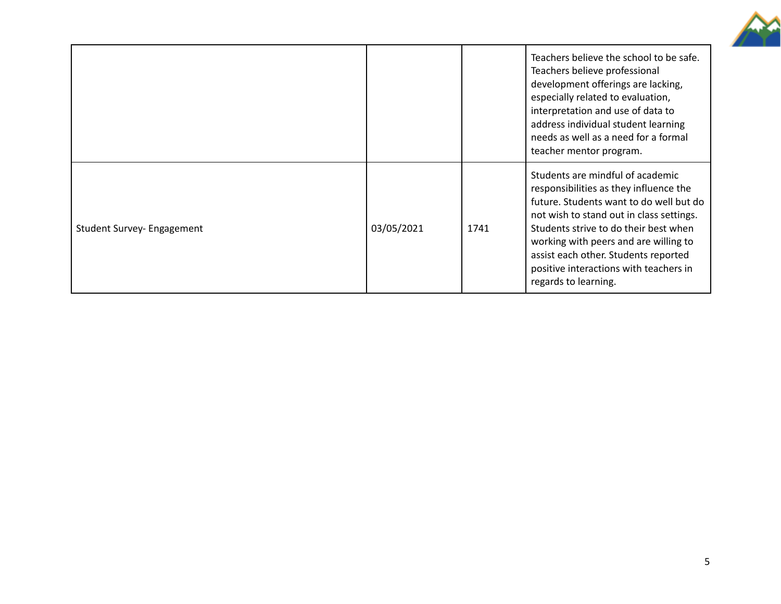

|                            |            |      | Teachers believe the school to be safe.<br>Teachers believe professional<br>development offerings are lacking,<br>especially related to evaluation,<br>interpretation and use of data to<br>address individual student learning<br>needs as well as a need for a formal<br>teacher mentor program.                                                            |
|----------------------------|------------|------|---------------------------------------------------------------------------------------------------------------------------------------------------------------------------------------------------------------------------------------------------------------------------------------------------------------------------------------------------------------|
| Student Survey- Engagement | 03/05/2021 | 1741 | Students are mindful of academic<br>responsibilities as they influence the<br>future. Students want to do well but do<br>not wish to stand out in class settings.<br>Students strive to do their best when<br>working with peers and are willing to<br>assist each other. Students reported<br>positive interactions with teachers in<br>regards to learning. |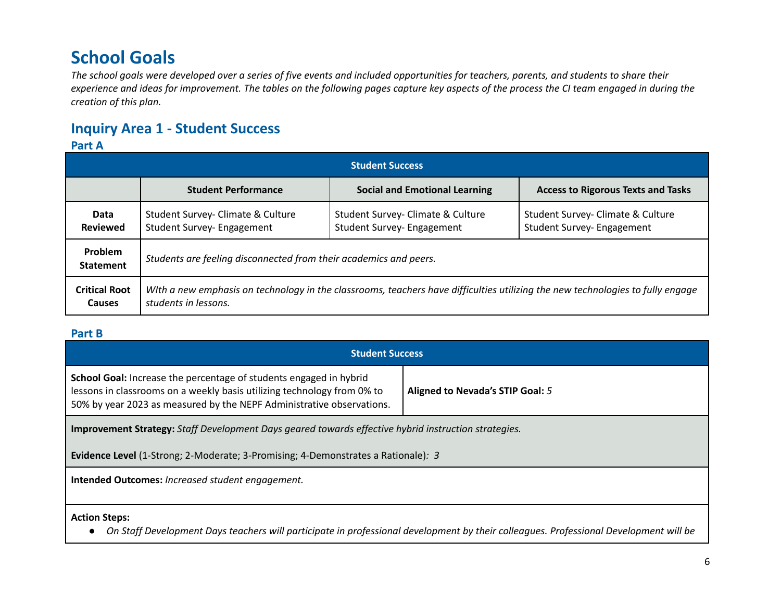## **School Goals**

The school goals were developed over a series of five events and included opportunities for teachers, parents, and students to share their experience and ideas for improvement. The tables on the following pages capture key aspects of the process the CI team engaged in during the *creation of this plan.*

## **Inquiry Area 1 - Student Success**

### **Part A**

| <b>Student Success</b>                |                                                                   |                                                                                                                                |                                                                 |  |  |
|---------------------------------------|-------------------------------------------------------------------|--------------------------------------------------------------------------------------------------------------------------------|-----------------------------------------------------------------|--|--|
|                                       | <b>Student Performance</b>                                        | <b>Social and Emotional Learning</b>                                                                                           | <b>Access to Rigorous Texts and Tasks</b>                       |  |  |
| Data<br><b>Reviewed</b>               | Student Survey- Climate & Culture<br>Student Survey- Engagement   | Student Survey- Climate & Culture<br>Student Survey- Engagement                                                                | Student Survey- Climate & Culture<br>Student Survey- Engagement |  |  |
| Problem<br><b>Statement</b>           | Students are feeling disconnected from their academics and peers. |                                                                                                                                |                                                                 |  |  |
| <b>Critical Root</b><br><b>Causes</b> | students in lessons.                                              | WIth a new emphasis on technology in the classrooms, teachers have difficulties utilizing the new technologies to fully engage |                                                                 |  |  |

### **Part B**

| <b>Student Success</b>                                                                                                                                                                                                                                            |  |  |  |  |  |
|-------------------------------------------------------------------------------------------------------------------------------------------------------------------------------------------------------------------------------------------------------------------|--|--|--|--|--|
| <b>School Goal:</b> Increase the percentage of students engaged in hybrid<br>lessons in classrooms on a weekly basis utilizing technology from 0% to<br>Aligned to Nevada's STIP Goal: 5<br>50% by year 2023 as measured by the NEPF Administrative observations. |  |  |  |  |  |
| <b>Improvement Strategy:</b> Staff Development Days geared towards effective hybrid instruction strategies.                                                                                                                                                       |  |  |  |  |  |
| <b>Evidence Level</b> (1-Strong; 2-Moderate; 3-Promising; 4-Demonstrates a Rationale): 3                                                                                                                                                                          |  |  |  |  |  |
| <b>Intended Outcomes: Increased student engagement.</b>                                                                                                                                                                                                           |  |  |  |  |  |
|                                                                                                                                                                                                                                                                   |  |  |  |  |  |
| <b>Action Steps:</b>                                                                                                                                                                                                                                              |  |  |  |  |  |

. On Staff Development Days teachers will participate in professional development by their colleagues. Professional Development will be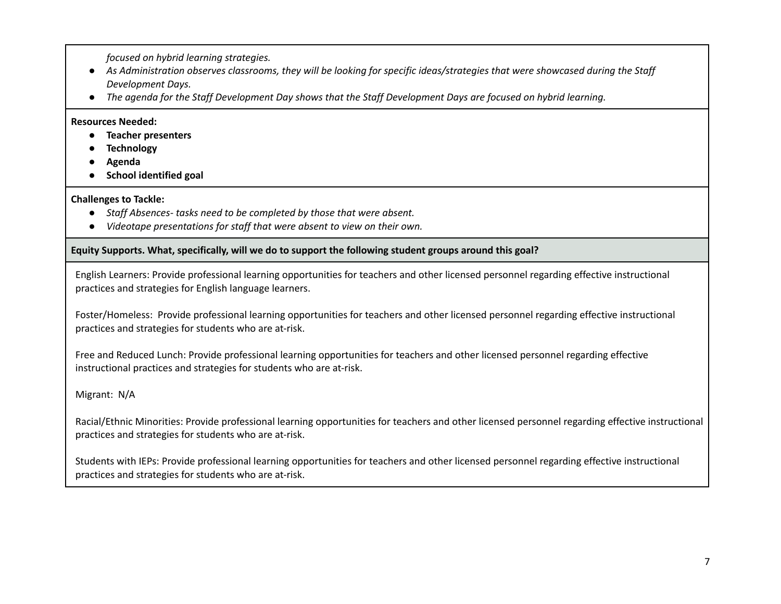*focused on hybrid learning strategies.*

- As Administration observes classrooms, they will be looking for specific ideas/strategies that were showcased during the Staff *Development Days.*
- The agenda for the Staff Development Day shows that the Staff Development Days are focused on hybrid learning.

### **Resources Needed:**

- **● Teacher presenters**
- **● Technology**
- **● Agenda**
- **● School identified goal**

### **Challenges to Tackle:**

- *● Staff Absences- tasks need to be completed by those that were absent.*
- *● Videotape presentations for staff that were absent to view on their own.*

### **Equity Supports. What, specifically, will we do to support the following student groups around this goal?**

English Learners: Provide professional learning opportunities for teachers and other licensed personnel regarding effective instructional practices and strategies for English language learners.

Foster/Homeless: Provide professional learning opportunities for teachers and other licensed personnel regarding effective instructional practices and strategies for students who are at-risk.

Free and Reduced Lunch: Provide professional learning opportunities for teachers and other licensed personnel regarding effective instructional practices and strategies for students who are at-risk.

### Migrant: N/A

Racial/Ethnic Minorities: Provide professional learning opportunities for teachers and other licensed personnel regarding effective instructional practices and strategies for students who are at-risk.

Students with IEPs: Provide professional learning opportunities for teachers and other licensed personnel regarding effective instructional practices and strategies for students who are at-risk.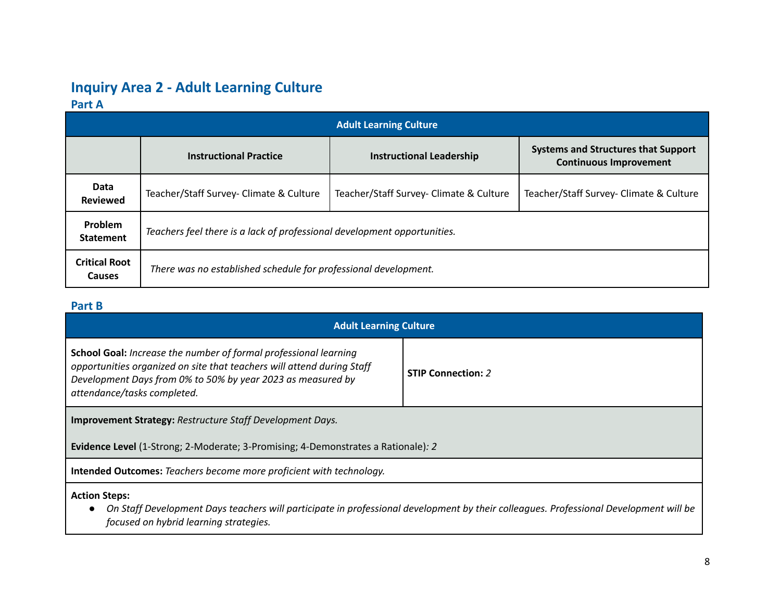## **Inquiry Area 2 - Adult Learning Culture**

## **Part A**

| <b>Adult Learning Culture</b>      |                                                                          |                                         |                                                                             |  |  |
|------------------------------------|--------------------------------------------------------------------------|-----------------------------------------|-----------------------------------------------------------------------------|--|--|
|                                    | <b>Instructional Practice</b>                                            | <b>Instructional Leadership</b>         | <b>Systems and Structures that Support</b><br><b>Continuous Improvement</b> |  |  |
| Data<br><b>Reviewed</b>            | Teacher/Staff Survey- Climate & Culture                                  | Teacher/Staff Survey- Climate & Culture | Teacher/Staff Survey- Climate & Culture                                     |  |  |
| <b>Problem</b><br><b>Statement</b> | Teachers feel there is a lack of professional development opportunities. |                                         |                                                                             |  |  |
| <b>Critical Root</b><br>Causes     | There was no established schedule for professional development.          |                                         |                                                                             |  |  |

## **Part B**

| <b>Adult Learning Culture</b>                                                                                                                                                                                                                   |                           |  |  |  |
|-------------------------------------------------------------------------------------------------------------------------------------------------------------------------------------------------------------------------------------------------|---------------------------|--|--|--|
| <b>School Goal:</b> Increase the number of formal professional learning<br>opportunities organized on site that teachers will attend during Staff<br>Development Days from 0% to 50% by year 2023 as measured by<br>attendance/tasks completed. | <b>STIP Connection: 2</b> |  |  |  |
| <b>Improvement Strategy: Restructure Staff Development Days.</b>                                                                                                                                                                                |                           |  |  |  |
| <b>Evidence Level</b> (1-Strong; 2-Moderate; 3-Promising; 4-Demonstrates a Rationale): 2                                                                                                                                                        |                           |  |  |  |
| <b>Intended Outcomes:</b> Teachers become more proficient with technology.                                                                                                                                                                      |                           |  |  |  |
| <b>Action Steps:</b><br>On Staff Development Days teachers will participate in professional development by their colleagues. Professional Development will be<br>focused on hybrid learning strategies.                                         |                           |  |  |  |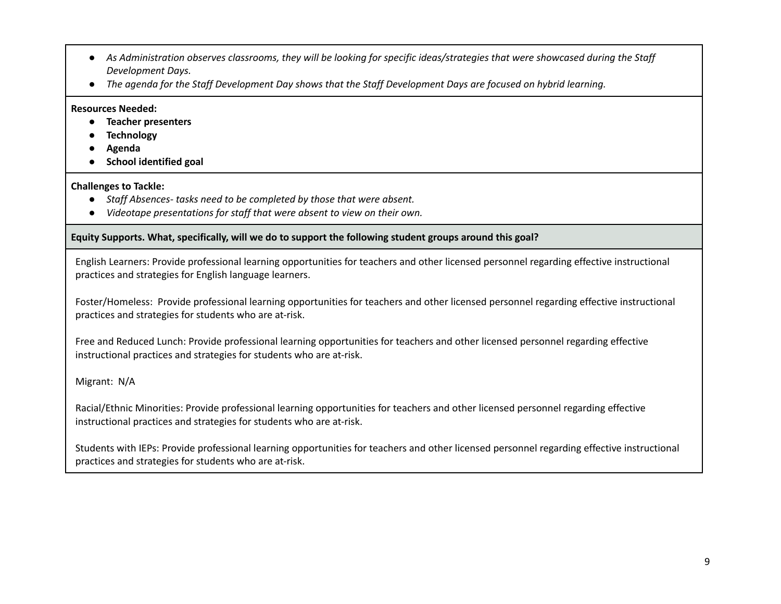- As Administration observes classrooms, they will be looking for specific ideas/strategies that were showcased during the Staff *Development Days.*
- The agenda for the Staff Development Day shows that the Staff Development Days are focused on hybrid learning.

#### **Resources Needed:**

- **● Teacher presenters**
- **● Technology**
- **● Agenda**
- **● School identified goal**

### **Challenges to Tackle:**

- *● Staff Absences- tasks need to be completed by those that were absent.*
- *● Videotape presentations for staff that were absent to view on their own.*

### **Equity Supports. What, specifically, will we do to support the following student groups around this goal?**

English Learners: Provide professional learning opportunities for teachers and other licensed personnel regarding effective instructional practices and strategies for English language learners.

Foster/Homeless: Provide professional learning opportunities for teachers and other licensed personnel regarding effective instructional practices and strategies for students who are at-risk.

Free and Reduced Lunch: Provide professional learning opportunities for teachers and other licensed personnel regarding effective instructional practices and strategies for students who are at-risk.

Migrant: N/A

Racial/Ethnic Minorities: Provide professional learning opportunities for teachers and other licensed personnel regarding effective instructional practices and strategies for students who are at-risk.

Students with IEPs: Provide professional learning opportunities for teachers and other licensed personnel regarding effective instructional practices and strategies for students who are at-risk.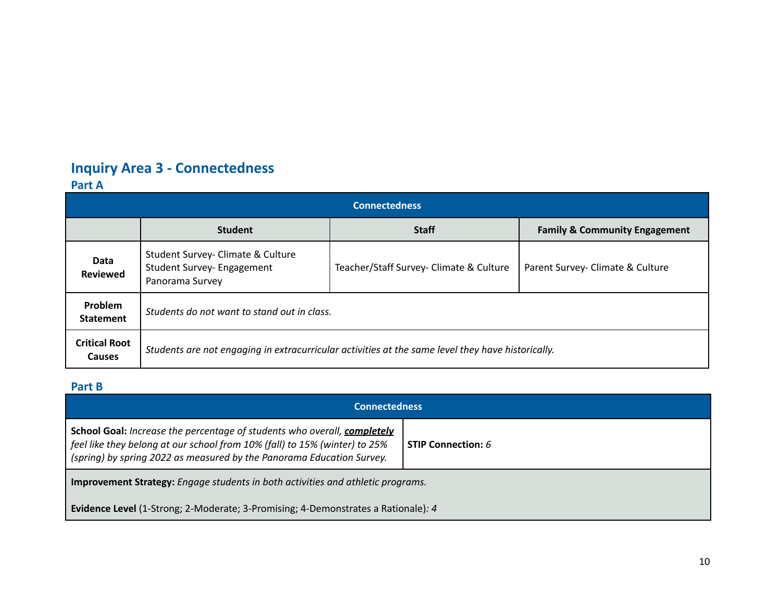# **Inquiry Area 3 - Connectedness**

## **Part A**

| <b>Connectedness</b>                  |                                                                                                   |                                         |                                          |  |  |
|---------------------------------------|---------------------------------------------------------------------------------------------------|-----------------------------------------|------------------------------------------|--|--|
|                                       | <b>Student</b>                                                                                    | <b>Staff</b>                            | <b>Family &amp; Community Engagement</b> |  |  |
| Data<br><b>Reviewed</b>               | Student Survey- Climate & Culture<br>Student Survey- Engagement<br>Panorama Survey                | Teacher/Staff Survey- Climate & Culture | Parent Survey- Climate & Culture         |  |  |
| Problem<br><b>Statement</b>           | Students do not want to stand out in class.                                                       |                                         |                                          |  |  |
| <b>Critical Root</b><br><b>Causes</b> | Students are not engaging in extracurricular activities at the same level they have historically. |                                         |                                          |  |  |

## **Part B**

| <b>Connectedness</b>                                                                                                                                                                                                            |                             |  |
|---------------------------------------------------------------------------------------------------------------------------------------------------------------------------------------------------------------------------------|-----------------------------|--|
| School Goal: Increase the percentage of students who overall, completely<br>feel like they belong at our school from 10% (fall) to 15% (winter) to 25%<br>(spring) by spring 2022 as measured by the Panorama Education Survey. | <b>STIP Connection:</b> $6$ |  |
| <b>Improvement Strategy:</b> Engage students in both activities and athletic programs.                                                                                                                                          |                             |  |
| <b>Evidence Level</b> (1-Strong; 2-Moderate; 3-Promising; 4-Demonstrates a Rationale): 4                                                                                                                                        |                             |  |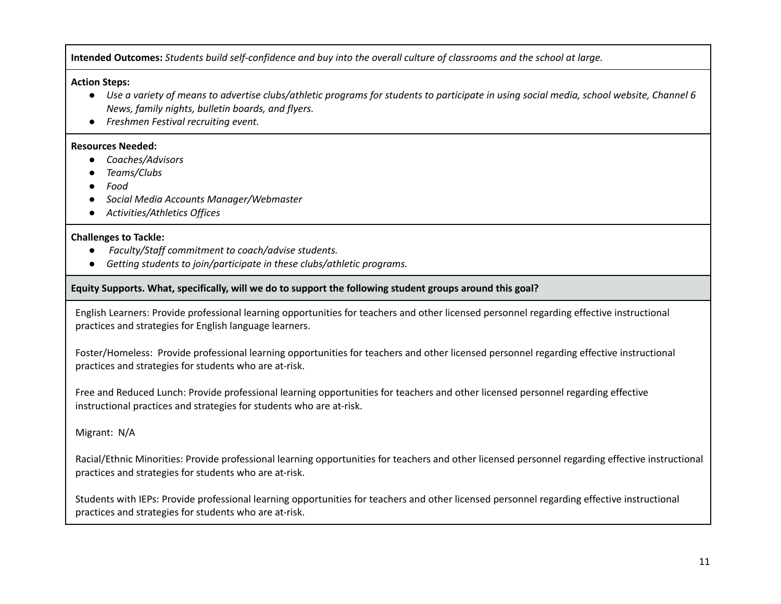Intended Outcomes: Students build self-confidence and buy into the overall culture of classrooms and the school at large.

#### **Action Steps:**

- Use a variety of means to advertise clubs/athletic programs for students to participate in using social media, school website, Channel 6 *News, family nights, bulletin boards, and flyers.*
- *● Freshmen Festival recruiting event.*

#### **Resources Needed:**

- **●** *Coaches/Advisors*
- *● Teams/Clubs*
- *● Food*
- *● Social Media Accounts Manager/Webmaster*
- *● Activities/Athletics Offices*

#### **Challenges to Tackle:**

- **●** *Faculty/Staff commitment to coach/advise students.*
- *● Getting students to join/participate in these clubs/athletic programs.*

### **Equity Supports. What, specifically, will we do to support the following student groups around this goal?**

English Learners: Provide professional learning opportunities for teachers and other licensed personnel regarding effective instructional practices and strategies for English language learners.

Foster/Homeless: Provide professional learning opportunities for teachers and other licensed personnel regarding effective instructional practices and strategies for students who are at-risk.

Free and Reduced Lunch: Provide professional learning opportunities for teachers and other licensed personnel regarding effective instructional practices and strategies for students who are at-risk.

Migrant: N/A

Racial/Ethnic Minorities: Provide professional learning opportunities for teachers and other licensed personnel regarding effective instructional practices and strategies for students who are at-risk.

Students with IEPs: Provide professional learning opportunities for teachers and other licensed personnel regarding effective instructional practices and strategies for students who are at-risk.